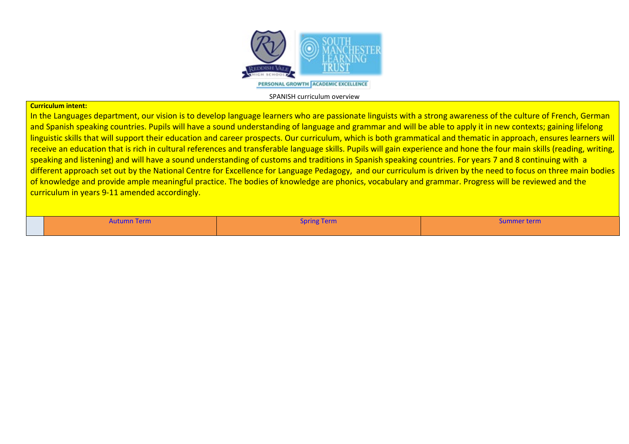

## **Curriculum intent:**

In the Languages department, our vision is to develop language learners who are passionate linguists with a strong awareness of the culture of French, German and Spanish speaking countries. Pupils will have a sound understanding of language and grammar and will be able to apply it in new contexts; gaining lifelong linguistic skills that will support their education and career prospects. Our curriculum, which is both grammatical and thematic in approach, ensures learners will receive an education that is rich in cultural references and transferable language skills. Pupils will gain experience and hone the four main skills (reading, writing, speaking and listening) and will have a sound understanding of customs and traditions in Spanish speaking countries. For years 7 and 8 continuing with a different approach set out by the National Centre for Excellence for Language Pedagogy, and our curriculum is driven by the need to focus on three main bodies of knowledge and provide ample meaningful practice. The bodies of knowledge are phonics, vocabulary and grammar. Progress will be reviewed and the curriculum in years 9-11 amended accordingly.

Autumn Term Summer term  ${\sf Sym}$  . Spring Term  ${\sf Sym}$  is the set of  ${\sf Sym}$  is the summer term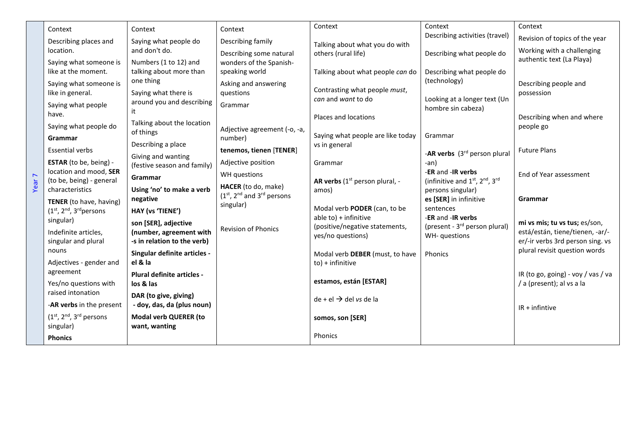|                   | Context                                                          | Context                                                                                         | Context                                                                                                           | Context                                                                                                                  | Context                                                                                                                    | Context                                                           |
|-------------------|------------------------------------------------------------------|-------------------------------------------------------------------------------------------------|-------------------------------------------------------------------------------------------------------------------|--------------------------------------------------------------------------------------------------------------------------|----------------------------------------------------------------------------------------------------------------------------|-------------------------------------------------------------------|
|                   | Describing places and                                            | Saying what people do                                                                           | Describing family<br>Describing some natural<br>wonders of the Spanish-<br>speaking world<br>Asking and answering | Talking about what you do with<br>others (rural life)                                                                    | Describing activities (travel)                                                                                             | Revision of topics of the year                                    |
|                   | location.                                                        | and don't do.                                                                                   |                                                                                                                   |                                                                                                                          | Describing what people do<br>Describing what people do<br>(technology)<br>Looking at a longer text (Un                     | Working with a challenging                                        |
|                   | Saying what someone is                                           | Numbers (1 to 12) and                                                                           |                                                                                                                   |                                                                                                                          |                                                                                                                            | authentic text (La Playa)                                         |
|                   | like at the moment.                                              | talking about more than<br>one thing<br>Saying what there is<br>around you and describing<br>it |                                                                                                                   | Talking about what people can do                                                                                         |                                                                                                                            |                                                                   |
|                   | Saying what someone is                                           |                                                                                                 |                                                                                                                   |                                                                                                                          |                                                                                                                            | Describing people and                                             |
|                   | like in general.                                                 |                                                                                                 | questions                                                                                                         | Contrasting what people must,<br>can and want to do                                                                      |                                                                                                                            | possession                                                        |
|                   | Saying what people                                               |                                                                                                 | Grammar                                                                                                           |                                                                                                                          | hombre sin cabeza)                                                                                                         |                                                                   |
|                   | have.                                                            | Talking about the location                                                                      |                                                                                                                   | Places and locations                                                                                                     |                                                                                                                            | Describing when and where                                         |
|                   | Saying what people do                                            | of things                                                                                       | Adjective agreement (-o, -a,                                                                                      | Saying what people are like today                                                                                        | Grammar<br>-AR verbs (3rd person plural                                                                                    | people go                                                         |
|                   | Grammar                                                          | Describing a place                                                                              | number)                                                                                                           | vs in general                                                                                                            |                                                                                                                            |                                                                   |
|                   | <b>Essential verbs</b>                                           | Giving and wanting                                                                              | tenemos, tienen [TENER]                                                                                           |                                                                                                                          |                                                                                                                            | <b>Future Plans</b>                                               |
|                   | ESTAR (to be, being) -                                           | (festive season and family)                                                                     | Adjective position                                                                                                | Grammar                                                                                                                  | -an)                                                                                                                       |                                                                   |
|                   | location and mood, SER<br>(to be, being) - general               | Grammar                                                                                         | WH questions                                                                                                      | AR verbs (1 <sup>st</sup> person plural, -                                                                               | -ER and -IR verbs<br>(infinitive and 1st, 2nd, 3rd                                                                         | End of Year assessment                                            |
| Year <sub>7</sub> | characteristics                                                  | Using 'no' to make a verb                                                                       | HACER (to do, make)<br>(1st, 2nd and 3rd persons<br>singular)                                                     | amos)<br>Modal verb PODER (can, to be<br>$able to$ ) + infinitive<br>(positive/negative statements,<br>yes/no questions) | persons singular)<br>es [SER] in infinitive<br>sentences<br>-ER and -IR verbs<br>(present - 3 <sup>rd</sup> person plural) |                                                                   |
|                   | TENER (to have, having)<br>$(1st, 2nd, 3rd persons$<br>singular) | negative                                                                                        |                                                                                                                   |                                                                                                                          |                                                                                                                            | Grammar                                                           |
|                   |                                                                  | HAY (vs 'TIENE')                                                                                |                                                                                                                   |                                                                                                                          |                                                                                                                            |                                                                   |
|                   |                                                                  | son [SER], adjective                                                                            |                                                                                                                   |                                                                                                                          |                                                                                                                            | mi vs mis; tu vs tus; es/son,                                     |
|                   | Indefinite articles,                                             | (number, agreement with                                                                         | Revision of Phonics                                                                                               |                                                                                                                          | WH-questions                                                                                                               | está/están, tiene/tienen, -ar/-                                   |
|                   | singular and plural<br>nouns                                     | -s in relation to the verb)                                                                     |                                                                                                                   |                                                                                                                          |                                                                                                                            | er/-ir verbs 3rd person sing. vs<br>plural revisit question words |
|                   |                                                                  | Singular definite articles -<br>el & la                                                         |                                                                                                                   | Modal verb DEBER (must, to have                                                                                          | Phonics                                                                                                                    |                                                                   |
|                   | Adjectives - gender and<br>agreement                             | Plural definite articles -                                                                      |                                                                                                                   | $to$ ) + infinitive                                                                                                      |                                                                                                                            | IR (to go, going) - voy / vas / va                                |
|                   | Yes/no questions with                                            | los & las                                                                                       |                                                                                                                   | estamos, están [ESTAR]                                                                                                   |                                                                                                                            | / a (present); al vs a la                                         |
|                   | raised intonation                                                | DAR (to give, giving)                                                                           |                                                                                                                   |                                                                                                                          |                                                                                                                            |                                                                   |
|                   | -AR verbs in the present                                         | - doy, das, da (plus noun)                                                                      |                                                                                                                   | $de + el \rightarrow del vs de la$                                                                                       |                                                                                                                            | $IR + infinite$                                                   |
|                   | $(1st, 2nd, 3rd persons$                                         | <b>Modal verb QUERER (to</b>                                                                    |                                                                                                                   | somos, son [SER]                                                                                                         |                                                                                                                            |                                                                   |
|                   | singular)                                                        | want, wanting                                                                                   |                                                                                                                   |                                                                                                                          |                                                                                                                            |                                                                   |
|                   | <b>Phonics</b>                                                   |                                                                                                 |                                                                                                                   | <b>Phonics</b>                                                                                                           |                                                                                                                            |                                                                   |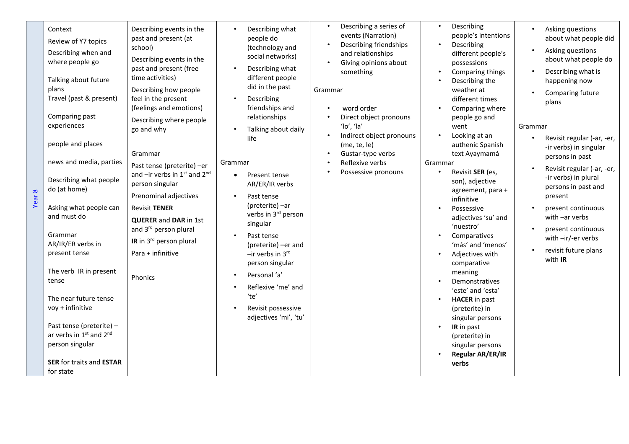| Context<br>Review of Y7 topics<br>Describing when and<br>where people go<br>Talking about future<br>plans<br>Travel (past & present)<br>Comparing past<br>experiences<br>people and places<br>news and media, parties<br>Describing what people<br>do (at home)<br>Year <sub>8</sub><br>Asking what people can<br>and must do<br>Grammar<br>AR/IR/ER verbs in<br>present tense<br>The verb IR in present<br>tense<br>The near future tense<br>voy + infinitive<br>Past tense (preterite) -<br>ar verbs in 1st and 2nd<br>person singular<br><b>SER for traits and ESTAR</b><br>for state | Describing events in the<br>past and present (at<br>school)<br>Describing events in the<br>past and present (free<br>time activities)<br>Describing how people<br>feel in the present<br>(feelings and emotions)<br>Describing where people<br>go and why<br>Grammar<br>Past tense (preterite) -er<br>and -ir verbs in 1st and 2nd<br>person singular<br>Prenominal adjectives<br><b>Revisit TENER</b><br><b>QUERER and DAR in 1st</b><br>and 3rd person plural<br>IR in 3rd person plural<br>Para + infinitive<br>Phonics | Describing what<br>people do<br>(technology and<br>social networks)<br>Describing what<br>different people<br>did in the past<br>Describing<br>$\bullet$<br>friendships and<br>relationships<br>Talking about daily<br>life<br>Grammar<br>Present tense<br>$\bullet$<br>AR/ER/IR verbs<br>Past tense<br>(preterite) -ar<br>verbs in 3rd person<br>singular<br>Past tense<br>(preterite) -er and<br>$-$ ir verbs in 3rd<br>person singular<br>Personal 'a'<br>$\bullet$<br>Reflexive 'me' and<br>'te'<br>Revisit possessive<br>$\bullet$<br>adjectives 'mi', 'tu' | Describing a series of<br>$\bullet$<br>events (Narration)<br>Describing friendships<br>and relationships<br>Giving opinions about<br>something<br>Grammar<br>word order<br>Direct object pronouns<br>$'$ lo', 'la'<br>Indirect object pronouns<br>(me, te, le)<br>Gustar-type verbs<br>Reflexive verbs<br>Possessive pronouns | Describing<br>$\bullet$<br>people's intentions<br>Describing<br>$\bullet$<br>different people's<br>possessions<br>Comparing things<br>Describing the<br>weather at<br>different times<br>Comparing where<br>people go and<br>went<br>Looking at an<br>$\bullet$<br>authenic Spanish<br>text Ayaymamá<br>Grammar<br>Revisit SER (es,<br>$\bullet$<br>son), adjective<br>agreement, para +<br>infinitive<br>Possessive<br>adjectives 'su' and<br>'nuestro'<br>Comparatives<br>$\bullet$<br>'más' and 'menos'<br>Adjectives with<br>comparative<br>meaning<br>Demonstratives<br>'este' and 'esta'<br><b>HACER</b> in past<br>(preterite) in<br>singular persons<br>IR in past<br>$\bullet$<br>(preterite) in<br>singular persons<br>Regular AR/ER/IR<br>verbs | Asking questions<br>about what people did<br>Asking questions<br>about what people do<br>Describing what is<br>happening now<br>Comparing future<br>plans<br>Grammar<br>Revisit regular (-ar, -er,<br>-ir verbs) in singular<br>persons in past<br>Revisit regular (-ar, -er,<br>-ir verbs) in plural<br>persons in past and<br>present<br>present continuous<br>with -ar verbs<br>present continuous<br>with -ir/-er verbs<br>revisit future plans<br>with IR |
|------------------------------------------------------------------------------------------------------------------------------------------------------------------------------------------------------------------------------------------------------------------------------------------------------------------------------------------------------------------------------------------------------------------------------------------------------------------------------------------------------------------------------------------------------------------------------------------|----------------------------------------------------------------------------------------------------------------------------------------------------------------------------------------------------------------------------------------------------------------------------------------------------------------------------------------------------------------------------------------------------------------------------------------------------------------------------------------------------------------------------|------------------------------------------------------------------------------------------------------------------------------------------------------------------------------------------------------------------------------------------------------------------------------------------------------------------------------------------------------------------------------------------------------------------------------------------------------------------------------------------------------------------------------------------------------------------|-------------------------------------------------------------------------------------------------------------------------------------------------------------------------------------------------------------------------------------------------------------------------------------------------------------------------------|------------------------------------------------------------------------------------------------------------------------------------------------------------------------------------------------------------------------------------------------------------------------------------------------------------------------------------------------------------------------------------------------------------------------------------------------------------------------------------------------------------------------------------------------------------------------------------------------------------------------------------------------------------------------------------------------------------------------------------------------------------|----------------------------------------------------------------------------------------------------------------------------------------------------------------------------------------------------------------------------------------------------------------------------------------------------------------------------------------------------------------------------------------------------------------------------------------------------------------|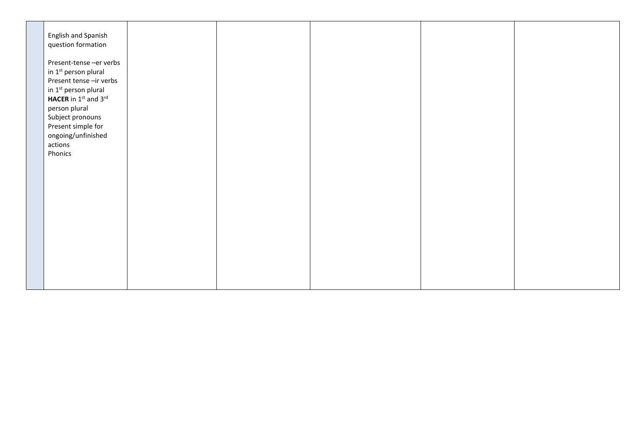| English and Spanish<br>question formation                                                                                                                                                                                                         |  |  |  |
|---------------------------------------------------------------------------------------------------------------------------------------------------------------------------------------------------------------------------------------------------|--|--|--|
| Present-tense -er verbs<br>in 1 <sup>st</sup> person plural<br>Present tense -ir verbs<br>in 1st person plural<br>HACER in $1st$ and $3rd$<br>person plural<br>Subject pronouns<br>Present simple for<br>ongoing/unfinished<br>actions<br>Phonics |  |  |  |
|                                                                                                                                                                                                                                                   |  |  |  |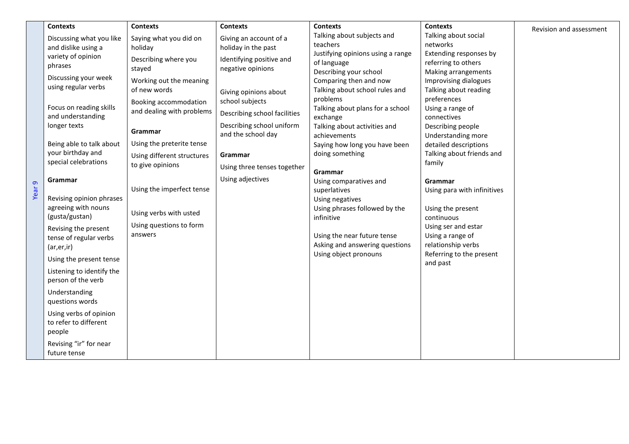|                   | <b>Contexts</b>                           | <b>Contexts</b>            | <b>Contexts</b>              | <b>Contexts</b>                                         | <b>Contexts</b>                                | Revision and assessment |
|-------------------|-------------------------------------------|----------------------------|------------------------------|---------------------------------------------------------|------------------------------------------------|-------------------------|
|                   | Discussing what you like                  | Saying what you did on     | Giving an account of a       | Talking about subjects and                              | Talking about social                           |                         |
|                   | and dislike using a                       | holiday                    | holiday in the past          | teachers                                                | networks                                       |                         |
|                   | variety of opinion                        | Describing where you       | Identifying positive and     | Justifying opinions using a range<br>of language        | Extending responses by<br>referring to others  |                         |
|                   | phrases                                   | stayed                     | negative opinions            | Describing your school                                  | Making arrangements                            |                         |
|                   | Discussing your week                      | Working out the meaning    |                              | Comparing then and now                                  | Improvising dialogues                          |                         |
|                   | using regular verbs                       | of new words               | Giving opinions about        | Talking about school rules and                          | Talking about reading                          |                         |
|                   |                                           | Booking accommodation      | school subjects              | problems                                                | preferences                                    |                         |
|                   | Focus on reading skills                   | and dealing with problems  |                              | Talking about plans for a school                        | Using a range of                               |                         |
|                   | and understanding                         |                            | Describing school facilities | exchange                                                | connectives                                    |                         |
|                   | longer texts                              | Grammar                    | Describing school uniform    | Talking about activities and                            | Describing people                              |                         |
|                   |                                           |                            | and the school day           | achievements                                            | Understanding more                             |                         |
|                   | Being able to talk about                  | Using the preterite tense  |                              | Saying how long you have been                           | detailed descriptions                          |                         |
|                   | your birthday and<br>special celebrations | Using different structures | Grammar                      | doing something                                         | Talking about friends and                      |                         |
|                   |                                           | to give opinions           | Using three tenses together  | Grammar                                                 | family                                         |                         |
|                   | Grammar                                   |                            | Using adjectives             | Using comparatives and                                  | Grammar                                        |                         |
| Year <sub>9</sub> |                                           | Using the imperfect tense  |                              | superlatives                                            | Using para with infinitives                    |                         |
|                   | Revising opinion phrases                  |                            |                              | Using negatives                                         |                                                |                         |
|                   | agreeing with nouns                       | Using verbs with usted     |                              | Using phrases followed by the                           | Using the present                              |                         |
|                   | (gusta/gustan)                            |                            |                              | infinitive                                              | continuous                                     |                         |
|                   | Revising the present                      | Using questions to form    |                              |                                                         | Using ser and estar                            |                         |
|                   | tense of regular verbs                    | answers                    |                              | Using the near future tense                             | Using a range of                               |                         |
|                   | (ar, er, ir)                              |                            |                              | Asking and answering questions<br>Using object pronouns | relationship verbs<br>Referring to the present |                         |
|                   | Using the present tense                   |                            |                              |                                                         | and past                                       |                         |
|                   | Listening to identify the                 |                            |                              |                                                         |                                                |                         |
|                   | person of the verb                        |                            |                              |                                                         |                                                |                         |
|                   | Understanding                             |                            |                              |                                                         |                                                |                         |
|                   | questions words                           |                            |                              |                                                         |                                                |                         |
|                   | Using verbs of opinion                    |                            |                              |                                                         |                                                |                         |
|                   | to refer to different                     |                            |                              |                                                         |                                                |                         |
|                   | people                                    |                            |                              |                                                         |                                                |                         |
|                   | Revising "ir" for near                    |                            |                              |                                                         |                                                |                         |
|                   | future tense                              |                            |                              |                                                         |                                                |                         |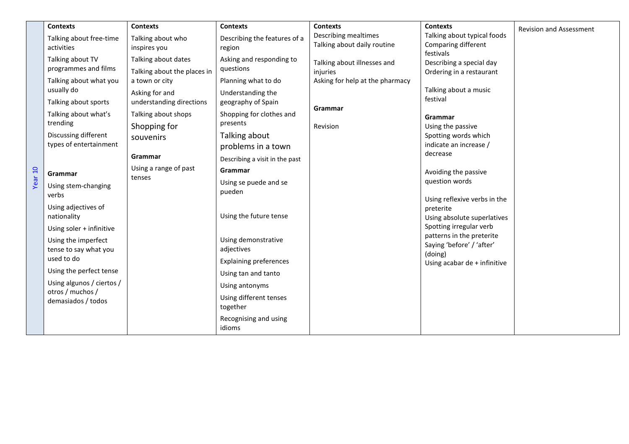|                    | <b>Contexts</b>                                                                                                                                                                                                                                                                                                                                             | <b>Contexts</b>                                                                                                                                                                                                      | <b>Contexts</b>                                                                                                                                                                                                                                                                                                                       | <b>Contexts</b>                                                                                   | <b>Contexts</b>                                                                                                                                                                                                                                                                                                                                                                                                            | <b>Revision and Assessment</b> |
|--------------------|-------------------------------------------------------------------------------------------------------------------------------------------------------------------------------------------------------------------------------------------------------------------------------------------------------------------------------------------------------------|----------------------------------------------------------------------------------------------------------------------------------------------------------------------------------------------------------------------|---------------------------------------------------------------------------------------------------------------------------------------------------------------------------------------------------------------------------------------------------------------------------------------------------------------------------------------|---------------------------------------------------------------------------------------------------|----------------------------------------------------------------------------------------------------------------------------------------------------------------------------------------------------------------------------------------------------------------------------------------------------------------------------------------------------------------------------------------------------------------------------|--------------------------------|
|                    | Talking about free-time<br>activities                                                                                                                                                                                                                                                                                                                       | Talking about who<br>inspires you                                                                                                                                                                                    | Describing the features of a<br>region                                                                                                                                                                                                                                                                                                | Describing mealtimes<br>Talking about daily routine                                               | Talking about typical foods<br>Comparing different                                                                                                                                                                                                                                                                                                                                                                         |                                |
| Year <sub>10</sub> | Talking about TV<br>programmes and films<br>Talking about what you<br>usually do<br>Talking about sports<br>Talking about what's<br>trending<br>Discussing different<br>types of entertainment<br>Grammar<br>Using stem-changing<br>verbs<br>Using adjectives of<br>nationality<br>Using soler + infinitive<br>Using the imperfect<br>tense to say what you | Talking about dates<br>Talking about the places in<br>a town or city<br>Asking for and<br>understanding directions<br>Talking about shops<br>Shopping for<br>souvenirs<br>Grammar<br>Using a range of past<br>tenses | Asking and responding to<br>questions<br>Planning what to do<br>Understanding the<br>geography of Spain<br>Shopping for clothes and<br>presents<br>Talking about<br>problems in a town<br>Describing a visit in the past<br>Grammar<br>Using se puede and se<br>pueden<br>Using the future tense<br>Using demonstrative<br>adjectives | Talking about illnesses and<br>injuries<br>Asking for help at the pharmacy<br>Grammar<br>Revision | festivals<br>Describing a special day<br>Ordering in a restaurant<br>Talking about a music<br>festival<br>Grammar<br>Using the passive<br>Spotting words which<br>indicate an increase /<br>decrease<br>Avoiding the passive<br>question words<br>Using reflexive verbs in the<br>preterite<br>Using absolute superlatives<br>Spotting irregular verb<br>patterns in the preterite<br>Saying 'before' / 'after'<br>(doing) |                                |
|                    | used to do<br>Using the perfect tense                                                                                                                                                                                                                                                                                                                       |                                                                                                                                                                                                                      | <b>Explaining preferences</b>                                                                                                                                                                                                                                                                                                         |                                                                                                   | Using acabar de + infinitive                                                                                                                                                                                                                                                                                                                                                                                               |                                |
|                    | Using algunos / ciertos /<br>otros / muchos /<br>demasiados / todos                                                                                                                                                                                                                                                                                         |                                                                                                                                                                                                                      | Using tan and tanto<br>Using antonyms<br>Using different tenses<br>together                                                                                                                                                                                                                                                           |                                                                                                   |                                                                                                                                                                                                                                                                                                                                                                                                                            |                                |
|                    |                                                                                                                                                                                                                                                                                                                                                             |                                                                                                                                                                                                                      | Recognising and using<br>idioms                                                                                                                                                                                                                                                                                                       |                                                                                                   |                                                                                                                                                                                                                                                                                                                                                                                                                            |                                |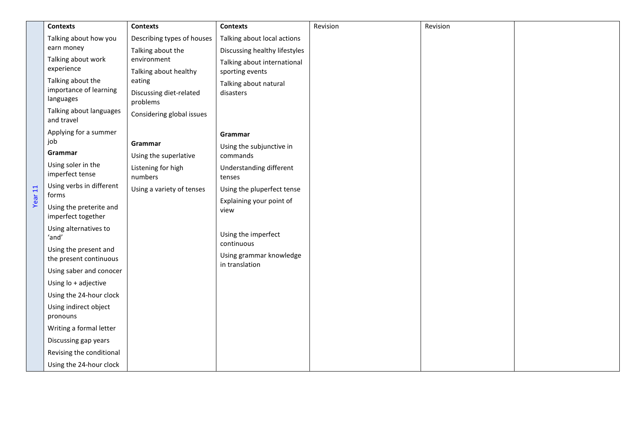|         | <b>Contexts</b>                                          | <b>Contexts</b>                     | <b>Contexts</b>                           | Revision | Revision |  |
|---------|----------------------------------------------------------|-------------------------------------|-------------------------------------------|----------|----------|--|
|         | Talking about how you                                    | Describing types of houses          | Talking about local actions               |          |          |  |
|         | earn money<br>Talking about work<br>experience           | Talking about the                   | Discussing healthy lifestyles             |          |          |  |
|         |                                                          | environment                         | Talking about international               |          |          |  |
|         |                                                          | Talking about healthy               | sporting events                           |          |          |  |
|         | Talking about the<br>importance of learning<br>languages | eating                              | Talking about natural                     |          |          |  |
|         |                                                          | Discussing diet-related<br>problems | disasters                                 |          |          |  |
|         | Talking about languages<br>and travel                    | Considering global issues           |                                           |          |          |  |
|         | Applying for a summer                                    |                                     | Grammar                                   |          |          |  |
|         | job                                                      | Grammar                             | Using the subjunctive in                  |          |          |  |
|         | Grammar                                                  | Using the superlative               | commands                                  |          |          |  |
|         | Using soler in the<br>imperfect tense                    | Listening for high<br>numbers       | Understanding different<br>tenses         |          |          |  |
| Year 11 | Using verbs in different<br>forms                        | Using a variety of tenses           | Using the pluperfect tense                |          |          |  |
|         | Using the preterite and                                  |                                     | Explaining your point of<br>view          |          |          |  |
|         | imperfect together                                       |                                     |                                           |          |          |  |
|         | Using alternatives to<br>'and'                           |                                     | Using the imperfect                       |          |          |  |
|         | Using the present and                                    |                                     | continuous                                |          |          |  |
|         | the present continuous                                   |                                     | Using grammar knowledge<br>in translation |          |          |  |
|         | Using saber and conocer                                  |                                     |                                           |          |          |  |
|         | Using lo + adjective                                     |                                     |                                           |          |          |  |
|         | Using the 24-hour clock                                  |                                     |                                           |          |          |  |
|         | Using indirect object<br>pronouns                        |                                     |                                           |          |          |  |
|         | Writing a formal letter                                  |                                     |                                           |          |          |  |
|         | Discussing gap years                                     |                                     |                                           |          |          |  |
|         | Revising the conditional                                 |                                     |                                           |          |          |  |
|         | Using the 24-hour clock                                  |                                     |                                           |          |          |  |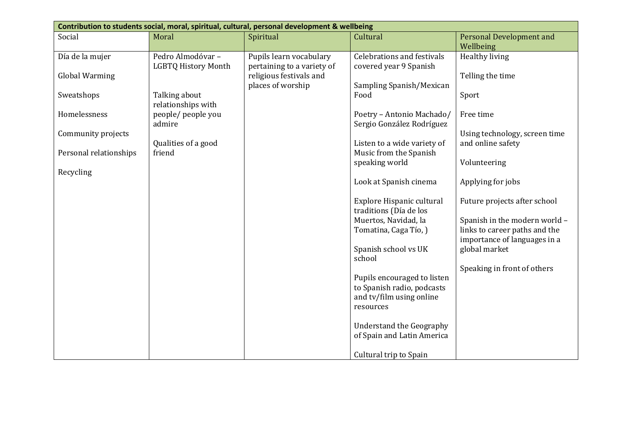| Contribution to students social, moral, spiritual, cultural, personal development & wellbeing |                            |                            |                                   |                                 |  |  |  |
|-----------------------------------------------------------------------------------------------|----------------------------|----------------------------|-----------------------------------|---------------------------------|--|--|--|
| Social                                                                                        | Moral                      | Spiritual                  | Cultural                          | <b>Personal Development and</b> |  |  |  |
|                                                                                               |                            |                            |                                   | Wellbeing                       |  |  |  |
| Día de la mujer                                                                               | Pedro Almodóvar-           | Pupils learn vocabulary    | <b>Celebrations and festivals</b> | Healthy living                  |  |  |  |
|                                                                                               | <b>LGBTQ History Month</b> | pertaining to a variety of | covered year 9 Spanish            |                                 |  |  |  |
| <b>Global Warming</b>                                                                         |                            | religious festivals and    |                                   | Telling the time                |  |  |  |
|                                                                                               |                            | places of worship          | Sampling Spanish/Mexican          |                                 |  |  |  |
| Sweatshops                                                                                    | Talking about              |                            | Food                              | Sport                           |  |  |  |
|                                                                                               | relationships with         |                            |                                   |                                 |  |  |  |
| Homelessness                                                                                  | people/ people you         |                            | Poetry - Antonio Machado/         | Free time                       |  |  |  |
|                                                                                               | admire                     |                            | Sergio González Rodríguez         |                                 |  |  |  |
| Community projects                                                                            |                            |                            |                                   | Using technology, screen time   |  |  |  |
|                                                                                               | Qualities of a good        |                            | Listen to a wide variety of       | and online safety               |  |  |  |
| Personal relationships                                                                        | friend                     |                            | Music from the Spanish            |                                 |  |  |  |
|                                                                                               |                            |                            | speaking world                    | Volunteering                    |  |  |  |
| Recycling                                                                                     |                            |                            |                                   |                                 |  |  |  |
|                                                                                               |                            |                            | Look at Spanish cinema            | Applying for jobs               |  |  |  |
|                                                                                               |                            |                            |                                   |                                 |  |  |  |
|                                                                                               |                            |                            | Explore Hispanic cultural         | Future projects after school    |  |  |  |
|                                                                                               |                            |                            | traditions (Día de los            |                                 |  |  |  |
|                                                                                               |                            |                            | Muertos, Navidad, la              | Spanish in the modern world -   |  |  |  |
|                                                                                               |                            |                            | Tomatina, Caga Tío, )             | links to career paths and the   |  |  |  |
|                                                                                               |                            |                            |                                   | importance of languages in a    |  |  |  |
|                                                                                               |                            |                            | Spanish school vs UK              | global market                   |  |  |  |
|                                                                                               |                            |                            | school                            |                                 |  |  |  |
|                                                                                               |                            |                            |                                   | Speaking in front of others     |  |  |  |
|                                                                                               |                            |                            | Pupils encouraged to listen       |                                 |  |  |  |
|                                                                                               |                            |                            | to Spanish radio, podcasts        |                                 |  |  |  |
|                                                                                               |                            |                            | and tv/film using online          |                                 |  |  |  |
|                                                                                               |                            |                            | resources                         |                                 |  |  |  |
|                                                                                               |                            |                            |                                   |                                 |  |  |  |
|                                                                                               |                            |                            | <b>Understand the Geography</b>   |                                 |  |  |  |
|                                                                                               |                            |                            | of Spain and Latin America        |                                 |  |  |  |
|                                                                                               |                            |                            |                                   |                                 |  |  |  |
|                                                                                               |                            |                            | Cultural trip to Spain            |                                 |  |  |  |
|                                                                                               |                            |                            |                                   |                                 |  |  |  |